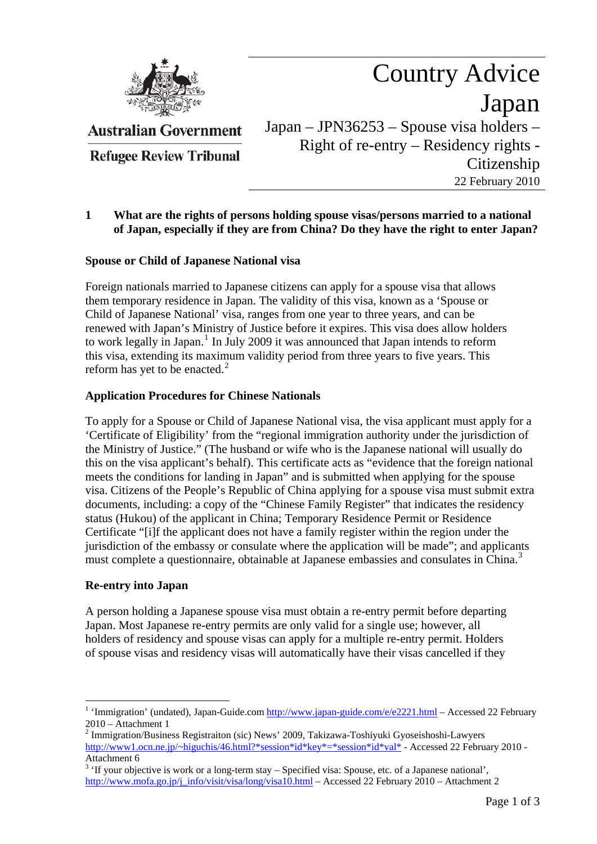

**Australian Government** 

**Refugee Review Tribunal** 

Country Advice Japan Japan – JPN36253 – Spouse visa holders – Right of re-entry – Residency rights - Citizenship 22 February 2010

# **1 What are the rights of persons holding spouse visas/persons married to a national of Japan, especially if they are from China? Do they have the right to enter Japan?**

# **Spouse or Child of Japanese National visa**

Foreign nationals married to Japanese citizens can apply for a spouse visa that allows them temporary residence in Japan. The validity of this visa, known as a 'Spouse or Child of Japanese National' visa, ranges from one year to three years, and can be renewed with Japan's Ministry of Justice before it expires. This visa does allow holders to work legally in Japan.<sup>[1](#page-0-0)</sup> In July 2009 it was announced that Japan intends to reform this visa, extending its maximum validity period from three years to five years. This reform has yet to be enacted. $<sup>2</sup>$  $<sup>2</sup>$  $<sup>2</sup>$ </sup>

### **Application Procedures for Chinese Nationals**

To apply for a Spouse or Child of Japanese National visa, the visa applicant must apply for a 'Certificate of Eligibility' from the "regional immigration authority under the jurisdiction of the Ministry of Justice." (The husband or wife who is the Japanese national will usually do this on the visa applicant's behalf). This certificate acts as "evidence that the foreign national meets the conditions for landing in Japan" and is submitted when applying for the spouse visa. Citizens of the People's Republic of China applying for a spouse visa must submit extra documents, including: a copy of the "Chinese Family Register" that indicates the residency status (Hukou) of the applicant in China; Temporary Residence Permit or Residence Certificate "[i]f the applicant does not have a family register within the region under the jurisdiction of the embassy or consulate where the application will be made"; and applicants must complete a questionnaire, obtainable at Japanese embassies and consulates in China.<sup>[3](#page-0-2)</sup>

#### **Re-entry into Japan**

A person holding a Japanese spouse visa must obtain a re-entry permit before departing Japan. Most Japanese re-entry permits are only valid for a single use; however, all holders of residency and spouse visas can apply for a multiple re-entry permit. Holders of spouse visas and residency visas will automatically have their visas cancelled if they

<span id="page-0-0"></span><sup>1</sup> <sup>1</sup> 'Immigration' (undated), Japan-Guide.com  $\frac{http://www.japan-guide.com/e/e2221.html}{http://www.japan-guide.com/e/e2221.html}$  – Accessed 22 February 2010 – Attachment 1

<span id="page-0-1"></span><sup>&</sup>lt;sup>2</sup> Immigration/Business Registraiton (sic) News' 2009, Takizawa-Toshiyuki Gyoseishoshi-Lawyers [http://www1.ocn.ne.jp/~higuchis/46.html?\\*session\\*id\\*key\\*=\\*session\\*id\\*val\\*](http://www1.ocn.ne.jp/%7Ehiguchis/46.html?*session*id*key*=*session*id*val*) - Accessed 22 February 2010 - Attachment 6

<span id="page-0-2"></span> $3$  'If your objective is work or a long-term stay  $-$  Specified visa: Spouse, etc. of a Japanese national', [http://www.mofa.go.jp/j\\_info/visit/visa/long/visa10.html](http://www.mofa.go.jp/j_info/visit/visa/long/visa10.html) – Accessed 22 February 2010 – Attachment 2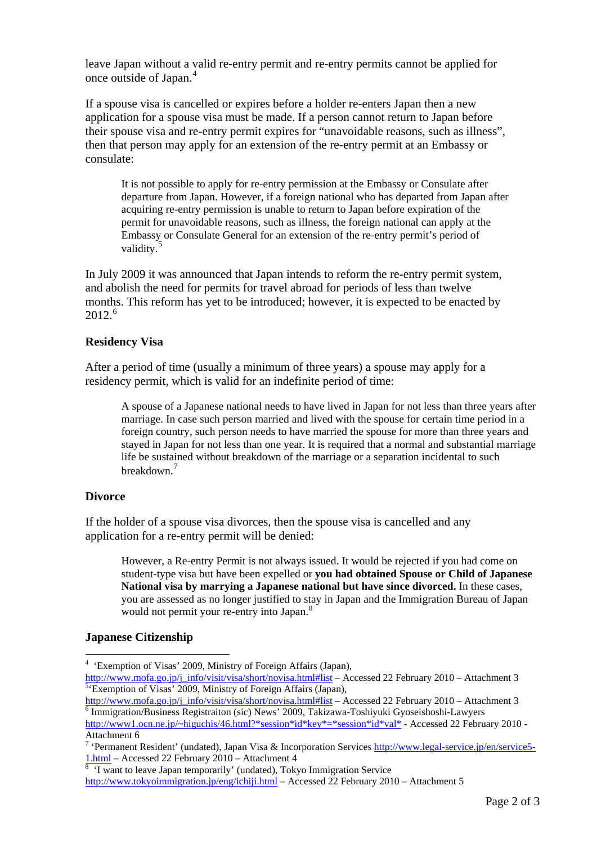leave Japan without a valid re-entry permit and re-entry permits cannot be applied for once outside of Japan.[4](#page-1-0)

If a spouse visa is cancelled or expires before a holder re-enters Japan then a new application for a spouse visa must be made. If a person cannot return to Japan before their spouse visa and re-entry permit expires for "unavoidable reasons, such as illness", then that person may apply for an extension of the re-entry permit at an Embassy or consulate:

It is not possible to apply for re-entry permission at the Embassy or Consulate after departure from Japan. However, if a foreign national who has departed from Japan after acquiring re-entry permission is unable to return to Japan before expiration of the permit for unavoidable reasons, such as illness, the foreign national can apply at the Embassy or Consulate General for an extension of the re-entry permit's period of validity.<sup>[5](#page-1-1)</sup>

In July 2009 it was announced that Japan intends to reform the re-entry permit system, and abolish the need for permits for travel abroad for periods of less than twelve months. This reform has yet to be introduced; however, it is expected to be enacted by 2012.[6](#page-1-2)

### **Residency Visa**

After a period of time (usually a minimum of three years) a spouse may apply for a residency permit, which is valid for an indefinite period of time:

A spouse of a Japanese national needs to have lived in Japan for not less than three years after marriage. In case such person married and lived with the spouse for certain time period in a foreign country, such person needs to have married the spouse for more than three years and stayed in Japan for not less than one year. It is required that a normal and substantial marriage life be sustained without breakdown of the marriage or a separation incidental to such breakdown.<sup>[7](#page-1-3)</sup>

#### **Divorce**

<u>.</u>

If the holder of a spouse visa divorces, then the spouse visa is cancelled and any application for a re-entry permit will be denied:

However, a Re-entry Permit is not always issued. It would be rejected if you had come on student-type visa but have been expelled or **you had obtained Spouse or Child of Japanese National visa by marrying a Japanese national but have since divorced.** In these cases, you are assessed as no longer justified to stay in Japan and the Immigration Bureau of Japan would not permit your re-entry into Japan.<sup>[8](#page-1-4)</sup>

#### **Japanese Citizenship**

<span id="page-1-2"></span>[http://www1.ocn.ne.jp/~higuchis/46.html?\\*session\\*id\\*key\\*=\\*session\\*id\\*val\\*](http://www1.ocn.ne.jp/%7Ehiguchis/46.html?*session*id*key*=*session*id*val*) - Accessed 22 February 2010 -Attachment 6<br><sup>7</sup> 'Permanent Resident' (undated), Japan Visa & Incorporation Services **http://www.legal-service.jp/en/service5**-

<span id="page-1-4"></span><http://www.tokyoimmigration.jp/eng/ichiji.html>– Accessed 22 February 2010 – Attachment 5

<span id="page-1-0"></span><sup>4</sup> 'Exemption of Visas' 2009, Ministry of Foreign Affairs (Japan),

<span id="page-1-1"></span>[http://www.mofa.go.jp/j\\_info/visit/visa/short/novisa.html#list](http://www.mofa.go.jp/j_info/visit/visa/short/novisa.html#list) – Accessed 22 February 2010 – Attachment 3  $5 \cdot$ Exemption of Visas' 2009, Ministry of Foreign Affairs (Japan),

[http://www.mofa.go.jp/j\\_info/visit/visa/short/novisa.html#list](http://www.mofa.go.jp/j_info/visit/visa/short/novisa.html#list) – Accessed 22 February 2010 – Attachment 3  $\delta$  Immigration/Business Registraiton (sic) News' 2009, Takizawa-Toshiyuki Gyoseishoshi-Lawyers

<span id="page-1-3"></span> $\frac{1. \text{html}}{8}$  $\frac{1. \text{html}}{8}$  $\frac{1. \text{html}}{8}$  - T want to leave Japan temporarily' (undated), Tokyo Immigration Service